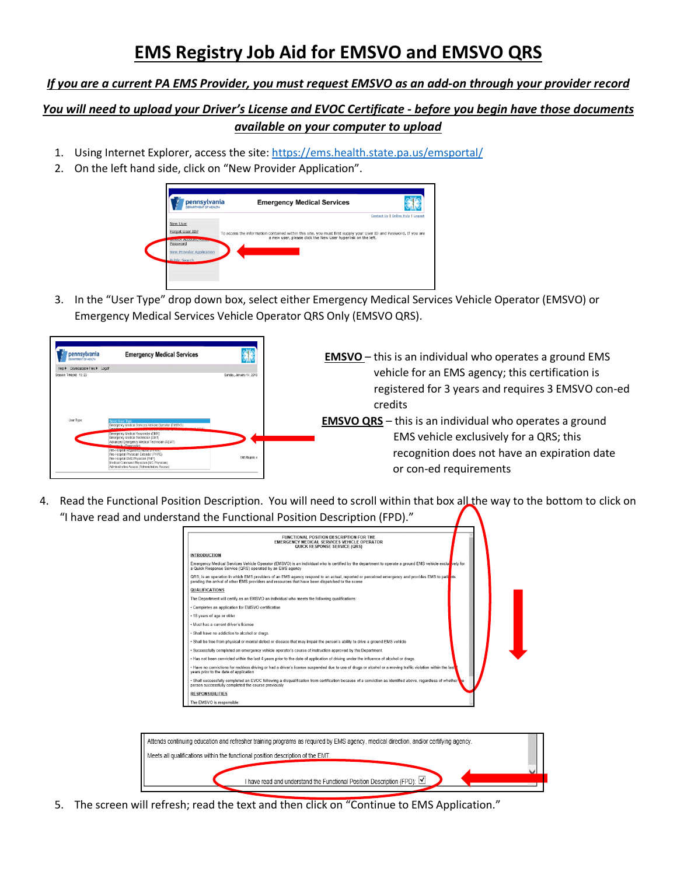## **EMS Registry Job Aid for EMSVO and EMSVO QRS**

## *If you are a current PA EMS Provider, you must request EMSVO as an add-on through your provider record*

## *You will need to upload your Driver's License and EVOC Certificate - before you begin have those documents available on your computer to upload*

- 1. Using Internet Explorer, access the site:<https://ems.health.state.pa.us/emsportal/>
- 2. On the left hand side, click on "New Provider Application".



3. In the "User Type" drop down box, select either Emergency Medical Services Vehicle Operator (EMSVO) or Emergency Medical Services Vehicle Operator QRS Only (EMSVO QRS).



4. Read the Functional Position Description. You will need to scroll within that box all the way to the bottom to click on "I have read and understand the Functional Position Description (FPD)."

| FUNCTIONAL POSITION DESCRIPTION FOR THE<br><b>EMERGENCY MEDICAL SERVICES VEHICLE OPERATOR</b><br>QUICK RESPONSE SERVICE (QRS)                                                                                                                    |  |
|--------------------------------------------------------------------------------------------------------------------------------------------------------------------------------------------------------------------------------------------------|--|
| <b>INTRODUCTION</b>                                                                                                                                                                                                                              |  |
| Emergency Medical Services Vehicle Operator (EMSVO) is an individual who is certified by the department to operate a ground EMS vehicle exclusively for<br>a Quick Response Service (QRS) operated by an EMS agency                              |  |
| QRS, is an operation in which EMS providers of an EMS agency respond to an actual, reported or perceived emergency and provides EMS to pation<br>pending the arrival of other EMS providers and resources that have been dispatched to the scene |  |
| QUALIFICATIONS                                                                                                                                                                                                                                   |  |
| The Department will certify as an EMSVO an individual who meets the following qualifications:                                                                                                                                                    |  |
| · Completes an application for EMSVO certification                                                                                                                                                                                               |  |
| . 18 years of age or older                                                                                                                                                                                                                       |  |
| . Must has a current driver's license                                                                                                                                                                                                            |  |
| · Shall have no addiction to alcohol or drugs.                                                                                                                                                                                                   |  |
| · Shall be free from physical or mental defect or disease that may impair the person's ability to drive a ground EMS vehicle                                                                                                                     |  |
| - Successfully completed an emergency vehicle operator's course of instruction approved by the Department.                                                                                                                                       |  |
| - Has not been convicted within the last 4 years prior to the date of application of driving under the influence of alcohol or drugs.                                                                                                            |  |
| . Have no convictions for reckless driving or had a driver's license suspended due to use of drugs or alcohol or a moving traffic violation within the last<br>years prior to the date of application                                            |  |
| . Shall successfully completed an EVOC following a disqualification from certification because of a conviction as identified above, regardless of whether<br>person successfully completed the course previously                                 |  |
| <b>RESPONSIBILITIES</b>                                                                                                                                                                                                                          |  |
| The EMSVO is responsible:                                                                                                                                                                                                                        |  |



5. The screen will refresh; read the text and then click on "Continue to EMS Application."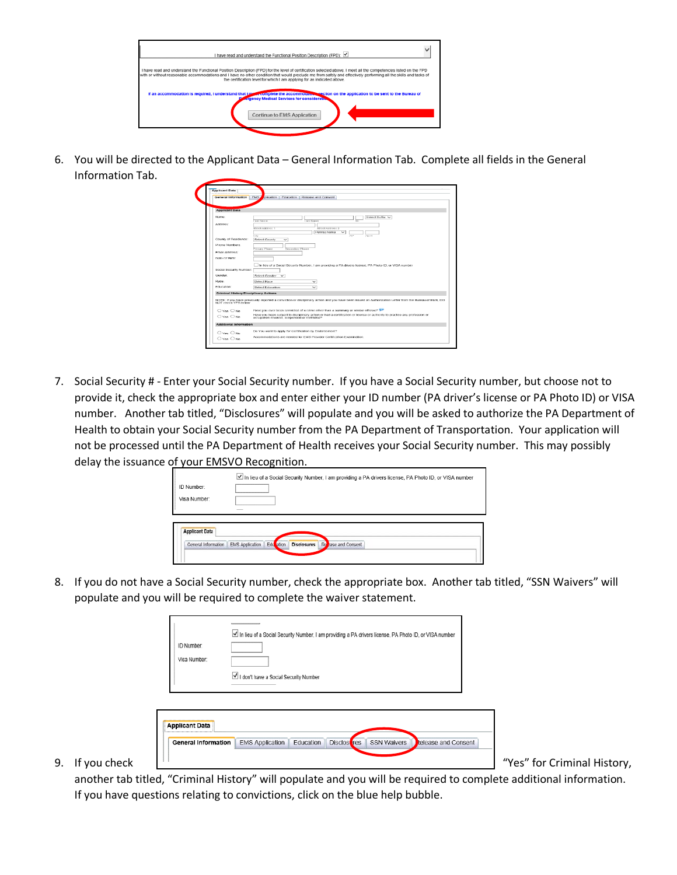| I have read and understand the Functional Position Description (FPD): V                                                                                                                                                                                                                                                                                                                                           |
|-------------------------------------------------------------------------------------------------------------------------------------------------------------------------------------------------------------------------------------------------------------------------------------------------------------------------------------------------------------------------------------------------------------------|
| I have read and understand the Functional Position Description (FPD) for the level of certification selected above. I meet all the competencies listed on the FPD<br>with or without reasonable accommodations and I have no other condition that would preclude me from safely and effectively performing all the skills and tasks of<br>the certification level for which I am applying for as indicated above. |
| If an accommodation is required, I understand that I put a complete the accommodate section on the application to be sent to the Bureau of<br><b>Engency Medical Services for considerates</b>                                                                                                                                                                                                                    |
| Continue to EMS Application                                                                                                                                                                                                                                                                                                                                                                                       |

6. You will be directed to the Applicant Data – General Information Tab. Complete all fields in the General Information Tab.

| <b>General Information</b>            | EMS.<br>olication   Education   Release and Consent                                                                                                                       |
|---------------------------------------|---------------------------------------------------------------------------------------------------------------------------------------------------------------------------|
|                                       |                                                                                                                                                                           |
| <b>Applicant Data</b>                 |                                                                                                                                                                           |
| Name:                                 | Select Suffix V                                                                                                                                                           |
|                                       | <b>Lewi Names</b><br>und Marrian                                                                                                                                          |
| Address:                              | Ritroet Address 1<br>Street Address 2                                                                                                                                     |
|                                       | Pennsylvania<br>$\overline{\phantom{0}}$                                                                                                                                  |
| County of Residence:                  | City<br>711<br>778115<br>fielect County<br>$\checkmark$                                                                                                                   |
|                                       |                                                                                                                                                                           |
| Phone Numbers.                        | Primary Phone<br>Secondary Phone                                                                                                                                          |
| Froat Address:                        |                                                                                                                                                                           |
| Date Of Birth:                        |                                                                                                                                                                           |
|                                       | In lieu of a Gocial Security Number, I am providing a PA drivers license. PA Photo ID, or VISA number                                                                     |
| Social Security Number:               |                                                                                                                                                                           |
| Clarenciers:                          | <b>Relect Geoder</b><br>$\checkmark$                                                                                                                                      |
| Race:                                 | Swisch Rock<br>$\checkmark$                                                                                                                                               |
| Education:                            | $\overline{\phantom{a}}$                                                                                                                                                  |
|                                       | Select Education                                                                                                                                                          |
| Criminal History/Disciplinary Actions |                                                                                                                                                                           |
| NOT chock YES below                   | NOTE: If you have previously reported a conviction or disciplinary action and you have been issued an Authorization Letter from the Bureau of EMS. DO                     |
|                                       |                                                                                                                                                                           |
| $O$ Yos $O$ No.                       | Have you over been convicted of a crime other than a summary or similar offense?                                                                                          |
| $O$ Yos $O$ No.                       | Have you been subject to disciplinary action or had a certification or license or authority to practice any profession or<br>occupation revoked, suspended or restricted? |
| Additional Information                |                                                                                                                                                                           |
| O Yes O No.                           | Do You want to apply for Certification by Endorsement?                                                                                                                    |
|                                       |                                                                                                                                                                           |

7. Social Security # - Enter your Social Security number. If you have a Social Security number, but choose not to provide it, check the appropriate box and enter either your ID number (PA driver's license or PA Photo ID) or VISA number. Another tab titled, "Disclosures" will populate and you will be asked to authorize the PA Department of Health to obtain your Social Security number from the PA Department of Transportation. Your application will not be processed until the PA Department of Health receives your Social Security number. This may possibly delay the issuance of your EMSVO Recognition.

|                       | In lieu of a Social Security Number, I am providing a PA drivers license, PA Photo ID, or VISA number |
|-----------------------|-------------------------------------------------------------------------------------------------------|
| ID Number:            |                                                                                                       |
| Visa Number:          |                                                                                                       |
|                       |                                                                                                       |
|                       |                                                                                                       |
| <b>Applicant Data</b> |                                                                                                       |
| General Information   | EMS Application   Edu ation<br>Re ase and Consent<br><b>Disclosures</b>                               |
|                       |                                                                                                       |

8. If you do not have a Social Security number, check the appropriate box. Another tab titled, "SSN Waivers" will populate and you will be required to complete the waiver statement.

|                    | ID Number:<br>Visa Number:                          | In lieu of a Social Security Number, I am providing a PA drivers license, PA Photo ID, or VISA number<br>I don't have a Social Security Number |                             |
|--------------------|-----------------------------------------------------|------------------------------------------------------------------------------------------------------------------------------------------------|-----------------------------|
| If you check<br>9. | <b>Applicant Data</b><br><b>General Information</b> | Education   Disclos res<br><b>SSN Waivers</b><br><b>EMS Application</b><br><b>Release and Consent</b>                                          | "Yes" for Criminal History, |

another tab titled, "Criminal History" will populate and you will be required to complete additional information. If you have questions relating to convictions, click on the blue help bubble.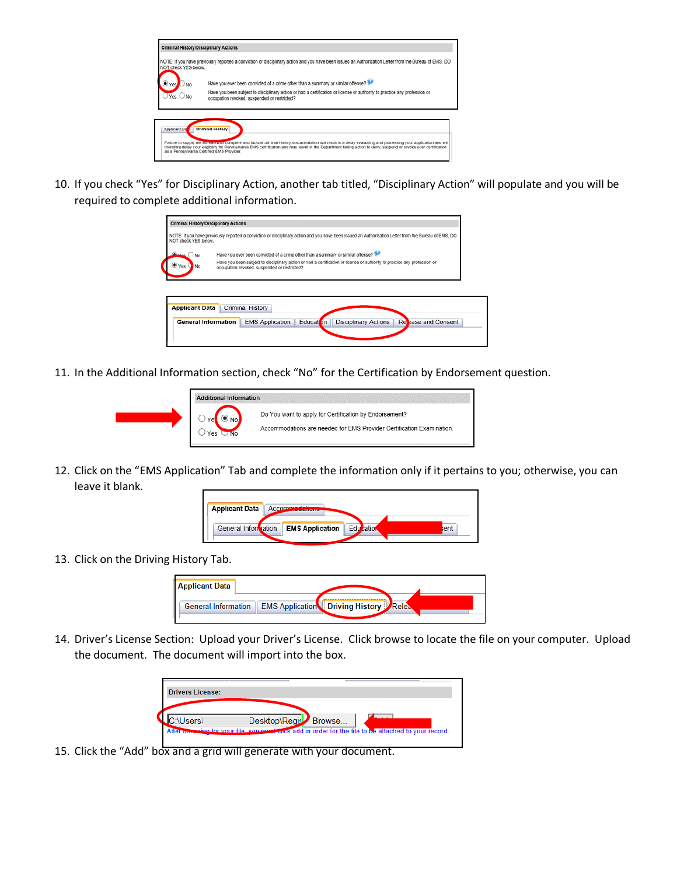| <b>Criminal History/Disciplinary Actions</b> |                                                                                                                                                                                                                                                                                                                                                                 |
|----------------------------------------------|-----------------------------------------------------------------------------------------------------------------------------------------------------------------------------------------------------------------------------------------------------------------------------------------------------------------------------------------------------------------|
| NOT check YES below.                         | NOTE: If you have previously reported a conviction or disciplinary action and you have been issued an Authorization Letter from the Bureau of EMS, DO                                                                                                                                                                                                           |
| Yes.                                         | Have you ever been convicted of a crime other than a summary or similar offense?                                                                                                                                                                                                                                                                                |
| Yes C                                        | Have you been subject to disciplinary action or had a certification or license or authority to practice any profession or<br>occupation revoked, suspended or restricted?                                                                                                                                                                                       |
|                                              |                                                                                                                                                                                                                                                                                                                                                                 |
| Applicant Da                                 | <b>Criminal History</b><br>Failure to supply the Bureau with complete and factual criminal history documentation will result in a delay evaluating and processing your application and will<br>therefore delay your eligibility for Pennsylvania EMS certification and may result in the Department taking action to deny, suspend or revoke your certification |
|                                              | as a Pennsylvania Certified EMS Provider.                                                                                                                                                                                                                                                                                                                       |

10. If you check "Yes" for Disciplinary Action, another tab titled, "Disciplinary Action" will populate and you will be required to complete additional information.

| <b>Criminal History/Disciplinary Actions</b> |                                                                                                                                                                                                                                                               |
|----------------------------------------------|---------------------------------------------------------------------------------------------------------------------------------------------------------------------------------------------------------------------------------------------------------------|
| NOT check YES below.                         | NOTE: If you have previously reported a conviction or disciplinary action and you have been issued an Authorization Letter from the Bureau of EMS, DO                                                                                                         |
| $\frac{m}{2}$ ONO<br>Yes<br>No               | Have you ever been convicted of a crime other than a summary or similar offense?<br>Have you been subject to disciplinary action or had a certification or license or authority to practice any profession or<br>occupation revoked, suspended or restricted? |
| <b>Applicant Data</b>                        | Criminal History                                                                                                                                                                                                                                              |
| <b>General Information</b>                   | Education<br><b>EMS Application</b><br><b>Disciplinary Actions</b><br>Repease and Consent                                                                                                                                                                     |

11. In the Additional Information section, check "No" for the Certification by Endorsement question.



12. Click on the "EMS Application" Tab and complete the information only if it pertains to you; otherwise, you can leave it blank.



13. Click on the Driving History Tab.



14. Driver's License Section: Upload your Driver's License. Click browse to locate the file on your computer. Upload the document. The document will import into the box.



15. Click the "Add" box and a grid will generate with your document.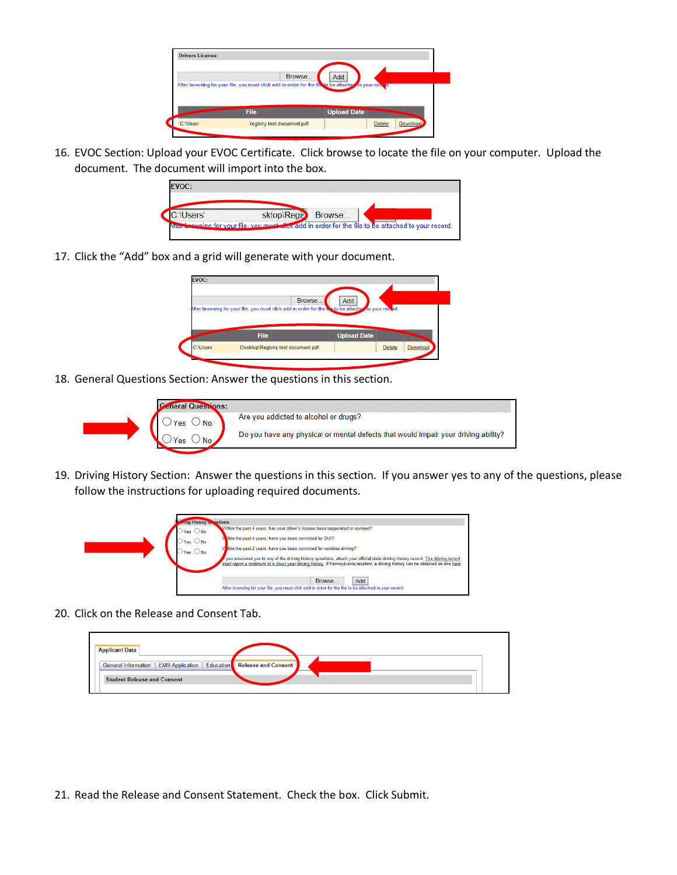

16. EVOC Section: Upload your EVOC Certificate. Click browse to locate the file on your computer. Upload the document. The document will import into the box.



17. Click the "Add" box and a grid will generate with your document.

| Browse.                                                                                             | <b>Add</b> |  |
|-----------------------------------------------------------------------------------------------------|------------|--|
| witer browsing for your file, you must click add in order for the matto be attached to your record. |            |  |
|                                                                                                     |            |  |
|                                                                                                     |            |  |
|                                                                                                     |            |  |

18. General Questions Section: Answer the questions in this section.



19. Driving History Section: Answer the questions in this section. If you answer yes to any of the questions, please follow the instructions for uploading required documents.



20. Click on the Release and Consent Tab.

| <b>Applicant Data</b>                                             |  |
|-------------------------------------------------------------------|--|
| General Information EMS Application Education Release and Consent |  |
| <b>Student Release and Consent</b>                                |  |

21. Read the Release and Consent Statement. Check the box. Click Submit.